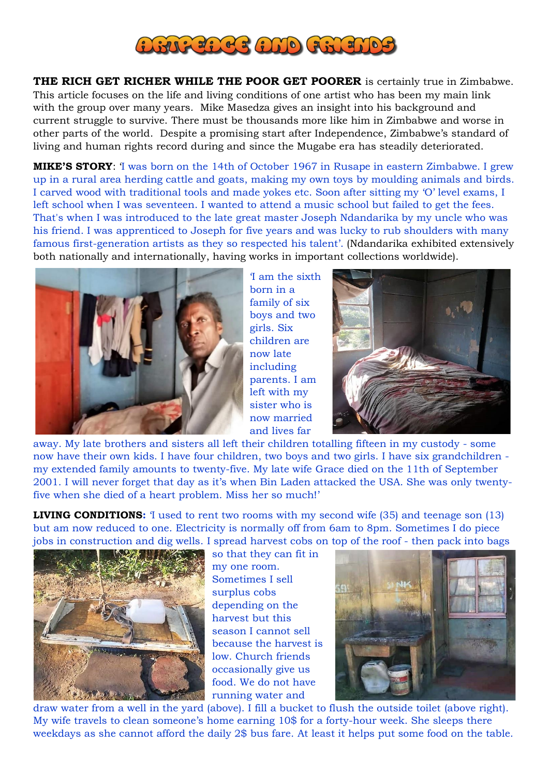

**THE RICH GET RICHER WHILE THE POOR GET POORER** is certainly true in Zimbabwe. This article focuses on the life and living conditions of one artist who has been my main link with the group over many years. Mike Masedza gives an insight into his background and current struggle to survive. There must be thousands more like him in Zimbabwe and worse in other parts of the world. Despite a promising start after Independence, Zimbabwe's standard of living and human rights record during and since the Mugabe era has steadily deteriorated.

**MIKE'S STORY**: 'I was born on the 14th of October 1967 in Rusape in eastern Zimbabwe. I grew up in a rural area herding cattle and goats, making my own toys by moulding animals and birds. I carved wood with traditional tools and made yokes etc. Soon after sitting my 'O' level exams, I left school when I was seventeen. I wanted to attend a music school but failed to get the fees. That's when I was introduced to the late great master Joseph Ndandarika by my uncle who was his friend. I was apprenticed to Joseph for five years and was lucky to rub shoulders with many famous first-generation artists as they so respected his talent'. (Ndandarika exhibited extensively both nationally and internationally, having works in important collections worldwide).



'I am the sixth born in a family of six boys and two girls. Six children are now late including parents. I am left with my sister who is now married and lives far



away. My late brothers and sisters all left their children totalling fifteen in my custody - some now have their own kids. I have four children, two boys and two girls. I have six grandchildren my extended family amounts to twenty-five. My late wife Grace died on the 11th of September 2001. I will never forget that day as it's when Bin Laden attacked the USA. She was only twentyfive when she died of a heart problem. Miss her so much!'

**LIVING CONDITIONS:** I used to rent two rooms with my second wife (35) and teenage son (13) but am now reduced to one. Electricity is normally off from 6am to 8pm. Sometimes I do piece jobs in construction and dig wells. I spread harvest cobs on top of the roof - then pack into bags



so that they can fit in my one room. Sometimes I sell surplus cobs depending on the harvest but this season I cannot sell because the harvest is low. Church friends occasionally give us food. We do not have running water and



draw water from a well in the yard (above). I fill a bucket to flush the outside toilet (above right). My wife travels to clean someone's home earning 10\$ for a forty-hour week. She sleeps there weekdays as she cannot afford the daily 2\$ bus fare. At least it helps put some food on the table.